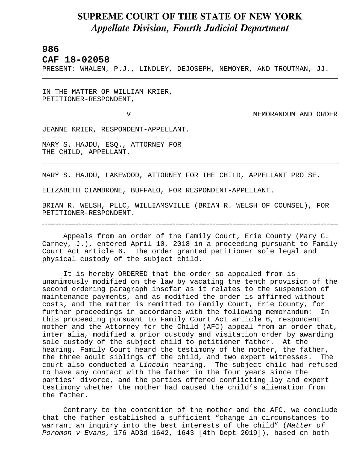## **SUPREME COURT OF THE STATE OF NEW YORK** *Appellate Division, Fourth Judicial Department*

## **986**

L

**CAF 18-02058** 

PRESENT: WHALEN, P.J., LINDLEY, DEJOSEPH, NEMOYER, AND TROUTMAN, JJ.

IN THE MATTER OF WILLIAM KRIER, PETITIONER-RESPONDENT,

V MEMORANDUM AND ORDER

JEANNE KRIER, RESPONDENT-APPELLANT. ----------------------------------- MARY S. HAJDU, ESQ., ATTORNEY FOR THE CHILD, APPELLANT.

MARY S. HAJDU, LAKEWOOD, ATTORNEY FOR THE CHILD, APPELLANT PRO SE.

ELIZABETH CIAMBRONE, BUFFALO, FOR RESPONDENT-APPELLANT.

BRIAN R. WELSH, PLLC, WILLIAMSVILLE (BRIAN R. WELSH OF COUNSEL), FOR PETITIONER-RESPONDENT.

Appeals from an order of the Family Court, Erie County (Mary G. Carney, J.), entered April 10, 2018 in a proceeding pursuant to Family Court Act article 6. The order granted petitioner sole legal and physical custody of the subject child.

It is hereby ORDERED that the order so appealed from is unanimously modified on the law by vacating the tenth provision of the second ordering paragraph insofar as it relates to the suspension of maintenance payments, and as modified the order is affirmed without costs, and the matter is remitted to Family Court, Erie County, for further proceedings in accordance with the following memorandum: In this proceeding pursuant to Family Court Act article 6, respondent mother and the Attorney for the Child (AFC) appeal from an order that, inter alia, modified a prior custody and visitation order by awarding sole custody of the subject child to petitioner father. At the hearing, Family Court heard the testimony of the mother, the father, the three adult siblings of the child, and two expert witnesses. The court also conducted a *Lincoln* hearing. The subject child had refused to have any contact with the father in the four years since the parties' divorce, and the parties offered conflicting lay and expert testimony whether the mother had caused the child's alienation from the father.

Contrary to the contention of the mother and the AFC, we conclude that the father established a sufficient "change in circumstances to warrant an inquiry into the best interests of the child" (*Matter of Poromon v Evans*, 176 AD3d 1642, 1643 [4th Dept 2019]), based on both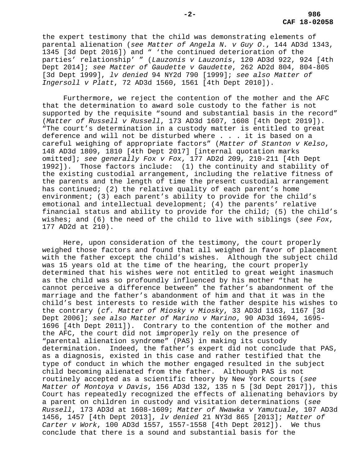the expert testimony that the child was demonstrating elements of parental alienation (*see Matter of Angela N. v Guy O*., 144 AD3d 1343, 1345 [3d Dept 2016]) and " 'the continued deterioration of the parties' relationship' " (*Lauzonis v Lauzonis*, 120 AD3d 922, 924 [4th Dept 2014]; *see Matter of Gaudette v Gaudette*, 262 AD2d 804, 804-805 [3d Dept 1999], *lv denied* 94 NY2d 790 [1999]; *see also Matter of Ingersoll v Platt*, 72 AD3d 1560, 1561 [4th Dept 2010]).

Furthermore, we reject the contention of the mother and the AFC that the determination to award sole custody to the father is not supported by the requisite "sound and substantial basis in the record" (*Matter of Russell v Russell*, 173 AD3d 1607, 1608 [4th Dept 2019]). "The court's determination in a custody matter is entitled to great deference and will not be disturbed where . . . it is based on a careful weighing of appropriate factors" (*Matter of Stanton v Kelso*, 148 AD3d 1809, 1810 [4th Dept 2017] [internal quotation marks omitted]; *see generally Fox v Fox*, 177 AD2d 209, 210-211 [4th Dept 1992]). Those factors include: (1) the continuity and stability of the existing custodial arrangement, including the relative fitness of the parents and the length of time the present custodial arrangement has continued; (2) the relative quality of each parent's home environment; (3) each parent's ability to provide for the child's emotional and intellectual development; (4) the parents' relative financial status and ability to provide for the child; (5) the child's wishes; and (6) the need of the child to live with siblings (*see Fox*, 177 AD2d at 210).

Here, upon consideration of the testimony, the court properly weighed those factors and found that all weighed in favor of placement with the father except the child's wishes. Although the subject child was 15 years old at the time of the hearing, the court properly determined that his wishes were not entitled to great weight inasmuch as the child was so profoundly influenced by his mother "that he cannot perceive a difference between" the father's abandonment of the marriage and the father's abandonment of him and that it was in the child's best interests to reside with the father despite his wishes to the contrary (*cf. Matter of Miosky v Miosky*, 33 AD3d 1163, 1167 [3d Dept 2006]; *see also Matter of Marino v Marino*, 90 AD3d 1694, 1695- 1696 [4th Dept 2011]). Contrary to the contention of the mother and the AFC, the court did not improperly rely on the presence of "parental alienation syndrome" (PAS) in making its custody determination. Indeed, the father's expert did not conclude that PAS, as a diagnosis, existed in this case and rather testified that the type of conduct in which the mother engaged resulted in the subject child becoming alienated from the father. Although PAS is not routinely accepted as a scientific theory by New York courts (*see Matter of Montoya v Davis*, 156 AD3d 132, 135 n 5 [3d Dept 2017]), this Court has repeatedly recognized the effects of alienating behaviors by a parent on children in custody and visitation determinations (*see Russell*, 173 AD3d at 1608-1609; *Matter of Nwawka v Yamutuale*, 107 AD3d 1456, 1457 [4th Dept 2013], *lv denied* 21 NY3d 865 [2013]; *Matter of Carter v Work*, 100 AD3d 1557, 1557-1558 [4th Dept 2012]). We thus conclude that there is a sound and substantial basis for the